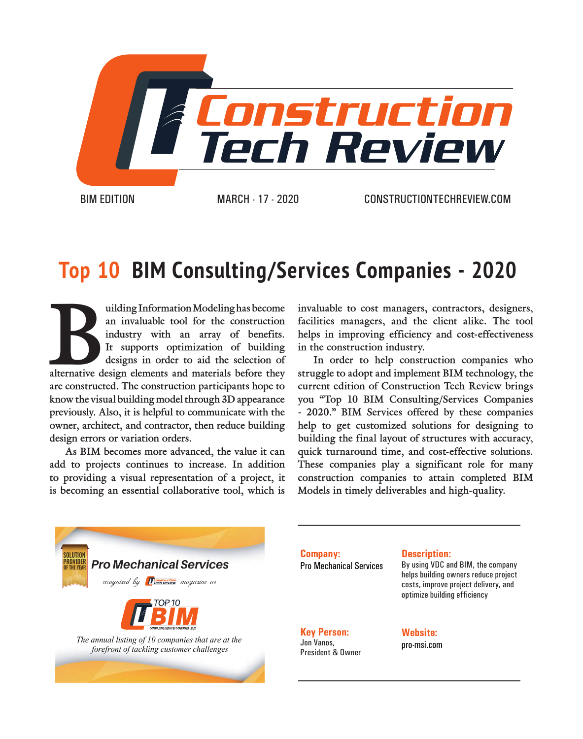

## **Top 10 BIM Consulting/Services Companies - 2020**

alternation Modeling has become an invaluable tool for the construction industry with an array of benefits. It supports optimization of building designs in order to aid the selection of alternative design elements and mate **an invaluable tool for the construction industry with an array of benefits. It supports optimization of building designs in order to aid the selection of are constructed. The construction participants hope to know the visual building model through 3D appearance previously. Also, it is helpful to communicate with the owner, architect, and contractor, then reduce building design errors or variation orders.** 

**As BIM becomes more advanced, the value it can add to projects continues to increase. In addition to providing a visual representation of a project, it is becoming an essential collaborative tool, which is** 

**invaluable to cost managers, contractors, designers, facilities managers, and the client alike. The tool helps in improving efficiency and cost-effectiveness in the construction industry.**

**In order to help construction companies who struggle to adopt and implement BIM technology, the current edition of Construction Tech Review brings you "Top 10 BIM Consulting/Services Companies - 2020." BIM Services offered by these companies help to get customized solutions for designing to building the final layout of structures with accuracy, quick turnaround time, and cost-effective solutions. These companies play a significant role for many construction companies to attain completed BIM Models in timely deliverables and high-quality.**



**Company:** Pro Mechanical Services

#### **Description:**

By using VDC and BIM, the company helps building owners reduce project costs, improve project delivery, and optimize building efficiency

**Key Person:** Jon Vanos, President & Owner **Website:** pro-msi.com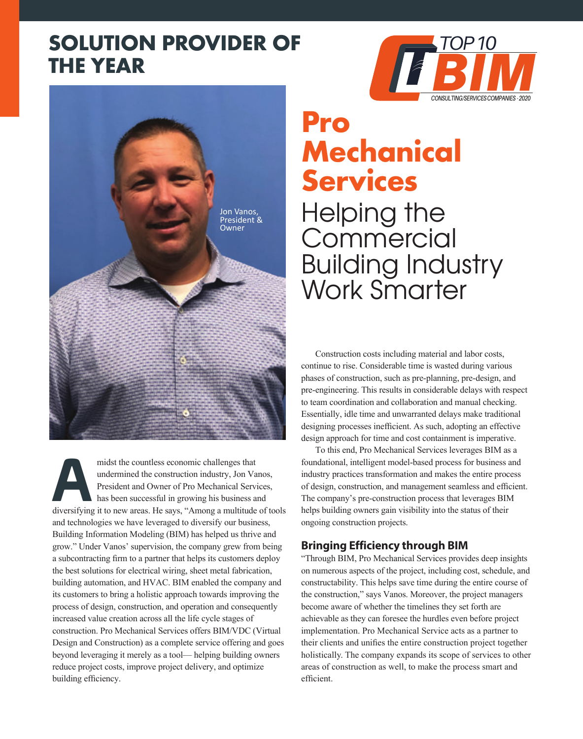## **SOLUTION PROVIDER OF THE YEAR**





midst the countless economic challenges that<br>undermined the construction industry, Jon Va<br>President and Owner of Pro Mechanical Servi<br>has been successful in growing his business a<br>diversifying it to new areas. He savs. "Am undermined the construction industry, Jon Vanos, President and Owner of Pro Mechanical Services, has been successful in growing his business and diversifying it to new areas. He says, "Among a multitude of tools and technologies we have leveraged to diversify our business, Building Information Modeling (BIM) has helped us thrive and grow." Under Vanos' supervision, the company grew from being a subcontracting firm to a partner that helps its customers deploy the best solutions for electrical wiring, sheet metal fabrication, building automation, and HVAC. BIM enabled the company and its customers to bring a holistic approach towards improving the process of design, construction, and operation and consequently increased value creation across all the life cycle stages of construction. Pro Mechanical Services offers BIM/VDC (Virtual Design and Construction) as a complete service offering and goes beyond leveraging it merely as a tool— helping building owners reduce project costs, improve project delivery, and optimize building efficiency.

# **Pro Mechanical Services**

Helping the **Commercial** Building Industry Work Smarter

Construction costs including material and labor costs, continue to rise. Considerable time is wasted during various phases of construction, such as pre-planning, pre-design, and pre-engineering. This results in considerable delays with respect to team coordination and collaboration and manual checking. Essentially, idle time and unwarranted delays make traditional designing processes inefficient. As such, adopting an effective design approach for time and cost containment is imperative.

To this end, Pro Mechanical Services leverages BIM as a foundational, intelligent model-based process for business and industry practices transformation and makes the entire process of design, construction, and management seamless and efficient. The company's pre-construction process that leverages BIM helps building owners gain visibility into the status of their ongoing construction projects.

### **Bringing Efficiency through BIM**

"Through BIM, Pro Mechanical Services provides deep insights on numerous aspects of the project, including cost, schedule, and constructability. This helps save time during the entire course of the construction," says Vanos. Moreover, the project managers become aware of whether the timelines they set forth are achievable as they can foresee the hurdles even before project implementation. Pro Mechanical Service acts as a partner to their clients and unifies the entire construction project together holistically. The company expands its scope of services to other areas of construction as well, to make the process smart and efficient.